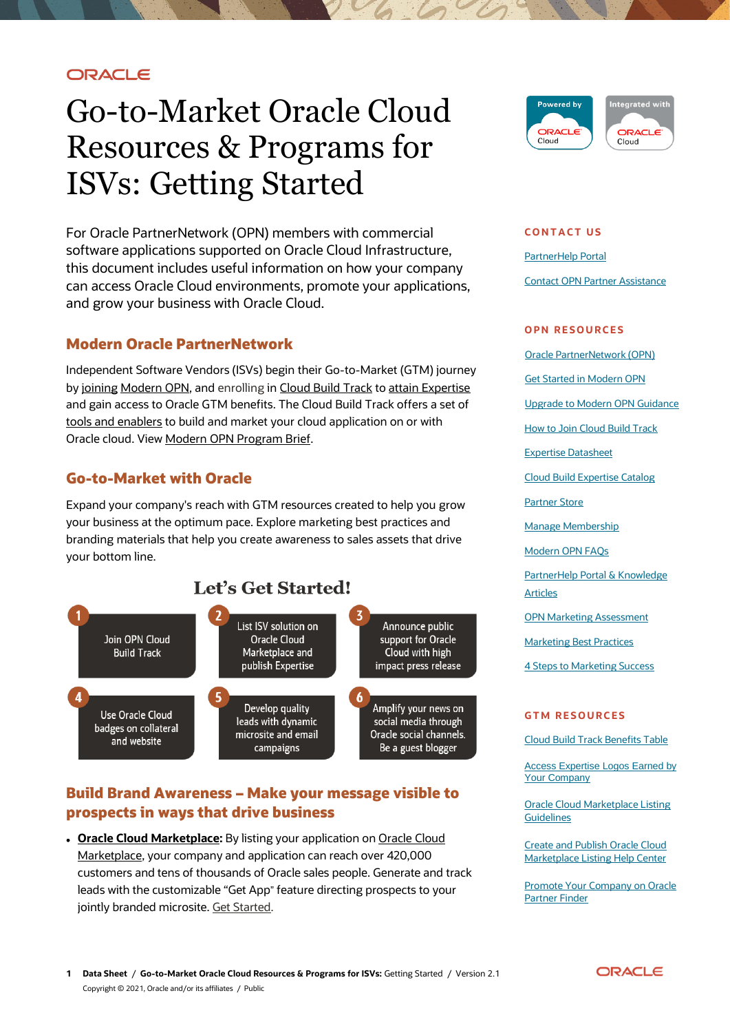## ORACLE

# Go-to-Market Oracle Cloud Resources & Programs for ISVs: Getting Started

For Oracle PartnerNetwork (OPN) members with commercial software applications supported on Oracle Cloud Infrastructure, this document includes useful information on how your company can access Oracle Cloud environments, promote your applications, and grow your business with Oracle Cloud.

## **Modern Oracle PartnerNetwork**

Independent Software Vendors (ISVs) begin their Go-to-Market (GTM) journey b[y joining](https://www.oracle.com/partnernetwork/program/join/) [Modern](https://www.oracle.com/partnernetwork/program/) OPN, and enrolling in [Cloud Build Track](https://www.oracle.com/partnernetwork/program/build/) to [attain Expertise](https://www.oracle.com/opn/secure/expertise/index.html) and gain access to Oracle GTM benefits. The Cloud Build Track offers a set of [tools and enablers](https://www.oracle.com/partnernetwork/program/enablers/) to build and market your cloud application on or with Oracle cloud. View [Modern OPN Program Brief.](https://www.oracle.com/partners/en/partner-with-oracle/opn-2020-brief-5573036.pdf)

## **Go-to-Market with Oracle**

Expand your company's reach with GTM resources created to help you grow your business at the optimum pace. Explore marketing best practices and branding materials that help you create awareness to sales assets that drive your bottom line.



## **Build Brand Awareness – Make your message visible to prospects in ways that drive business**

**• [Oracle Cloud Marketplace:](https://www.oracle.com/partners/en/most-popular-resources/paas-iaas-listing-process-oracle-3256075.pdf)** By listing your application on Oracle Cloud [Marketplace,](http://cloud.oracle.com/marketplace) your company and application can reach over 420,000 customers and tens of thousands of Oracle sales people. Generate and track leads with the customizable "Get App" feature directing prospects to your jointly branded microsite. [Get Started.](https://docs.oracle.com/en/cloud/marketplace/marketplace-cloud/index.html)



#### **C O N T A C T U S**

PartnerHelp Portal Contact OPN Partner Assistance

#### **OPN RESOURCES**

[Oracle PartnerNetwork \(OPN\)](http://www.oracle.com/partners/index.html)

[Get Started in Modern OPN](https://partnerhelp.oracle.com/app/answers/answer_view/a_id/1015673/loc/en_US)

[Upgrade to Modern OPN Guidance](https://partnerhelp.oracle.com/app/answers/answer_view/a_id/1014427)

[How to Join Cloud Build Track](https://partnerhelp.oracle.com/app/answers/answer_view/a_id/1013634)

Expertise [Datasheet](https://www.oracle.com/opn/expertise/expertise-in-opn-brief-6814015.pdf)

[Cloud Build Expertise Catalog](https://www.oracle.com/partnernetwork/expertise/)

[Partner Store](https://partnerstore.oracle.com/apex/ps_ext_links.joinopn)

[Manage Membership](https://www.oracle.com/opn/secure/manage/index.html)

[Modern OPN FAQs](https://www.oracle.com/partnernetwork/program/faq/)

[PartnerHelp Portal & Knowledge](https://partnerhelp.oracle.com/)  [Articles](https://partnerhelp.oracle.com/)

[OPN Marketing Assessment](https://www.roboticmarketer.com/marketapp/)

[Marketing Best Practices](https://www.oracle.com/opn/secure/gtm/marketing-best-practices/index.html)

[4 Steps to Marketing Success](https://indd.adobe.com/view/91aba2b7-9615-4ba9-bd2c-5591e8b5802e)

#### **GTM RESOURCES**

[Cloud Build Track Benefits Table](https://www.oracle.com/partnernetwork/program/enablers/)

[Access Expertise Logos Earned by](https://www.oracle.com/opn/secure/manage/brand-guidelines-6415499.pdf)  [Your Company](https://www.oracle.com/opn/secure/manage/brand-guidelines-6415499.pdf) 

**Oracle Cloud Marketplace Listing [Guidelines](http://www.oracle.com/partners/en/most-popular-resources/ocm-listing-guidelines-oracle-3231806.pdf)** 

**Create and Publish Oracle Cloud** [Marketplace Listing Help Center](https://docs.oracle.com/en/cloud/marketplace/partner-portal/partp/how-do-i-become-marketplace-publisher.html#GUID-7577C09B-B0E2-4160-9BF5-A5F42FF5F91C)

[Promote Your Company on Oracle](https://partnerhelp.oracle.com/app/answers/answer_view/a_id/1013414/)  [Partner Finder](https://partnerhelp.oracle.com/app/answers/answer_view/a_id/1013414/)

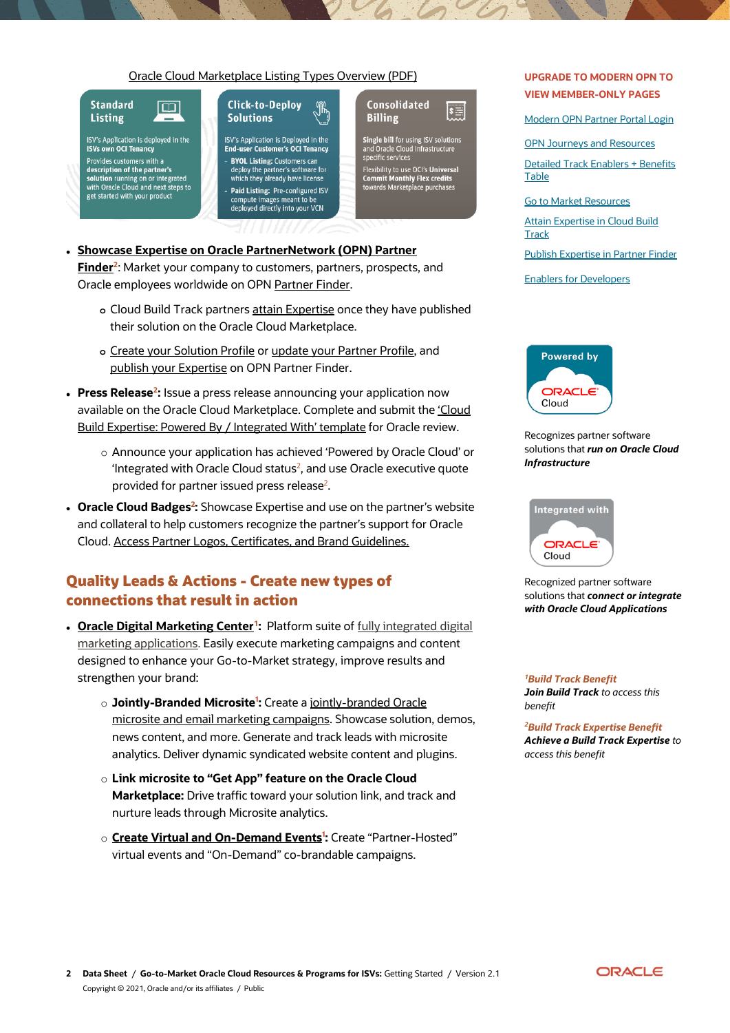#### [Oracle Cloud Marketplace Listing Types Overview](https://www.oracle.com/partners/en/most-popular-resources/paas-iaas-listing-process-oracle-3256075.pdf) (PDF)



ISV's Application is deployed in the<br>ISVs own OCI Tenancy Provides customers with a<br>description of the partner's solution running on or integrated<br>with Oracle Cloud and next steps to get started with your product

#### **Click-to-Deplov** Jĥ **Solutions**

ISV's Application is Deployed in the<br>End-user Customer's OCI Tenancy **BYOL Listing: Customers can** deploy the partner's software for which they already have license Paid Listing: Pre-configured ISV compute images meant to be<br>deployed directly into your VCN

#### **Consolidated**  $|\mathbf{t}$ **Billing**

**Single bill for using ISV solutions<br>and Oracle Cloud Infrastructure<br>specific services** Flexibility to use OCI's Universal<br>Commit Monthly Flex credits<br>towards Marketplace purchases

 **Showcase Expertise on [Oracle PartnerNetwork \(OPN\) Partner](https://partnerhelp.oracle.com/app/answers/answer_view/a_id/1013594/loc/en_US)  [Finder](https://partnerhelp.oracle.com/app/answers/answer_view/a_id/1013594/loc/en_US)<sup>2</sup>** : Market your company to customers, partners, prospects, and

Oracle employees worldwide on OPN [Partner Finder.](https://partner-finder.oracle.com/catalog/opn/index.html)

- **o** Cloud Build Track partners [attain Expertise](https://www.oracle.com/partnernetwork/expertise/build/powered-by-oracle-cloud/) once they have published their solution on the Oracle Cloud Marketplace.
- **o** [Create your Solution Profile](https://partnerhelp.oracle.com/app/answers/answer_view/a_id/1013590) o[r update your Partner Profile,](https://partnerhelp.oracle.com/app/answers/answer_view/a_id/1013574/) and [publish your Expertise](https://partnerhelp.oracle.com/app/answers/answer_view/a_id/1013594) on OPN Partner Finder.
- **Press Release<sup>2</sup>:** Issue a press release announcing your application now available on the Oracle Cloud Marketplace. Complete and submit the ['Cloud](https://partnerhelp.oracle.com/app/answers/answer_view/a_id/1013433/loc/en_US)  [Build Expertise: Powered By / Integrated With' template](https://partnerhelp.oracle.com/app/answers/answer_view/a_id/1013433/loc/en_US) for Oracle review.
	- o Announce your application has achieved 'Powered by Oracle Cloud' or Integrated with Oracle Cloud status<sup>2</sup>, and use Oracle executive quote provided for partner issued press release<sup>2</sup>.
- **Oracle Cloud Badges<sup>2</sup>:** Showcase Expertise and use on the partner's website and collateral to help customers recognize the partner's support for Oracle Cloud[. Access Partner Logos, Certificates, and Brand Guidelines.](https://www.oracle.com/opn/secure/manage/brand-guidelines-6415499.pdf)

## **Quality Leads & Actions - Create new types of connections that result in action**

- **· [Oracle Digital Marketing Center](https://www.oracle.com/partners/en/partner-with-oracle/market-and-sell/channel-automation-service/secure/index.html)<sup>1</sup>:** Platform suite of fully integrated digital [marketing applications.](https://www.oracle.com/partners/en/partner-with-oracle/market-and-sell/channel-automation-service/secure/discover-digital-marketing-center-5958294.pdf) Easily execute marketing campaigns and content designed to enhance your Go-to-Market strategy, improve results and strengthen your brand:
	- o **Jointly-Branded Microsite<sup>1</sup> :** Create a [jointly-branded Oracle](https://www.oracle.com/partners/en/partner-with-oracle/market-and-sell/channel-automation-service/secure/isv-ocmas-5593385.pdf)  [microsite and email marketing campaigns.](https://www.oracle.com/partners/en/partner-with-oracle/market-and-sell/channel-automation-service/secure/isv-ocmas-5593385.pdf) Showcase solution, demos, news content, and more. Generate and track leads with microsite analytics. Deliver dynamic syndicated website content and plugins.
	- o **Link microsite to "Get App" feature on the Oracle Cloud Marketplace:** Drive traffic toward your solution link, and track and nurture leads through Microsite analytics.
	- o **[Create Virtual and On-Demand Events](https://www.oracle.com/opn/secure/gtm/resources/digital-marketing-center/virtual-event-center-7503767.pdf)<sup>1</sup> :** Create "Partner-Hosted" virtual events and "On-Demand" co-brandable campaigns.

### **UPGRADE TO MODERN OPN TO VIEW MEMBER-ONLY PAGES**

[Modern OPN Partner Portal Login](https://www.oracle.com/opn/secure/index.html)

[OPN Journeys and Resources](https://www.oracle.com/opn/secure/gtm/index.html)

Detailed [Track Enablers + Benefits](https://www.oracle.com/opn/secure/get-enabled/modernized-opn-benefits/table-5731944.html)  **[Table](https://www.oracle.com/opn/secure/get-enabled/modernized-opn-benefits/table-5731944.html)** 

[Go to Market](https://www.oracle.com/opn/secure/gtm/resources/index.html) Resources

[Attain Expertise in Cloud Build](https://partnerhelp.oracle.com/app/answers/answer_view/a_id/1016087/loc/en_US)  **[Track](https://partnerhelp.oracle.com/app/answers/answer_view/a_id/1016087/loc/en_US)** 

[Publish Expertise in Partner Finder](https://partnerhelp.oracle.com/app/answers/answer_view/a_id/1013594/loc/en_US)

[Enablers for Developers](https://www.oracle.com/opn/secure/get-enabled/developers/index.html)



#### Recognizes partner software solutions that *run on Oracle Cloud Infrastructure*



Recognized partner software solutions that *connect or integrate with Oracle Cloud Applications*

*<sup>1</sup>Build Track Benefit Join Build Track to access this benefit*

*<sup>2</sup>Build Track Expertise Benefit Achieve a Build Track Expertise to access this benefit*

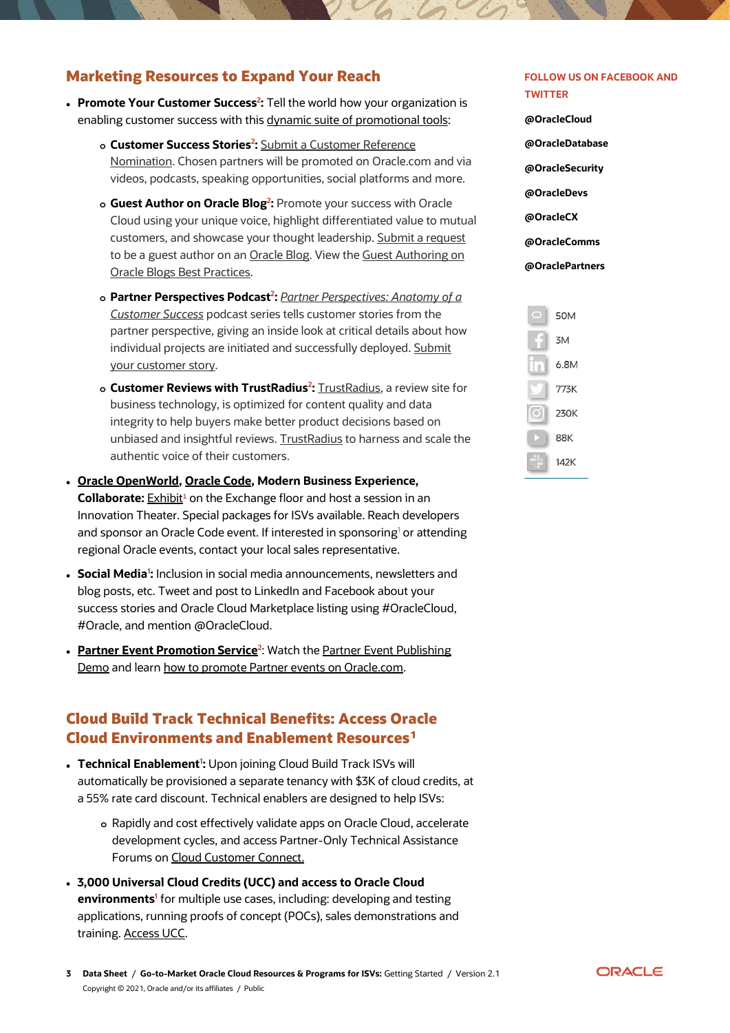## **Marketing Resources to Expand Your Reach**

- **Promote Your Customer Success<sup>2</sup>:** Tell the world how your organization is enabling customer success with thi[s dynamic suite of promotional tools:](https://www.oracle.com/opn/secure/gtm/resources/promote-success/index.html)
	- **o Customer Success Stories<sup>2</sup> :** [Submit a Customer Reference](https://apexapps.oracle.com/pls/apex/ocom/r/ocom/reference-sign-up-form?session=101011438370009)  [Nomination.](https://apexapps.oracle.com/pls/apex/ocom/r/ocom/reference-sign-up-form?session=101011438370009) Chosen partners will be promoted on Oracle.com and via videos, podcasts, speaking opportunities, social platforms and more.
	- **o Guest Author on Oracle Blog<sup>2</sup> :** Promote your success with Oracle Cloud using your unique voice, highlight differentiated value to mutual customers, and showcase your thought leadership[. Submit a request](https://partnerhelp.oracle.com/app/answers/answer_view/a_id/1016295) to be a guest author on a[n Oracle Blog.](https://blogs.oracle.com/) View th[e Guest Authoring on](https://www.oracle.com/opn/secure/gtm/resources/promote-success/guest-blogs-best-practices-7605433.pdf)  [Oracle Blogs Best Practices.](https://www.oracle.com/opn/secure/gtm/resources/promote-success/guest-blogs-best-practices-7605433.pdf)
	- **o Partner Perspectives Podcast<sup>2</sup> :** *[Partner Perspectives: Anatomy of a](http://partnerperspectives.oracle.libsynpro.com/website)  [Customer Success](http://partnerperspectives.oracle.libsynpro.com/website)* podcast series tells customer stories from the partner perspective, giving an inside look at critical details about how individual projects are initiated and successfully deployed. [Submit](https://www.wrike.com/frontend/requestforms/index.html?token=eyJhY2NvdW50SWQiOjE1NzIwMDMsInRhc2tGb3JtSWQiOjM5NDgyOH0JNDc2MDU0Njc4NTQ4MAlhNWM3MzVlNTYxZjgzZWJjMzE4NTNiZTJhNWExODU1OWJkNmRmZTdhYzlmNWRhNGFjZDBkOWM4NDA4ZWUwMTM5)  [your customer story.](https://www.wrike.com/frontend/requestforms/index.html?token=eyJhY2NvdW50SWQiOjE1NzIwMDMsInRhc2tGb3JtSWQiOjM5NDgyOH0JNDc2MDU0Njc4NTQ4MAlhNWM3MzVlNTYxZjgzZWJjMzE4NTNiZTJhNWExODU1OWJkNmRmZTdhYzlmNWRhNGFjZDBkOWM4NDA4ZWUwMTM5)
	- **o Customer Reviews with TrustRadius<sup>2</sup> :** [TrustRadius,](https://www.trustradius.com/) a review site for business technology, is optimized for content quality and data integrity to help buyers make better product decisions based on unbiased and insightful reviews[. TrustRadius](https://www.trustradius.com/static/oracle_lp?utm_medium=web&utm_source=VendorSourced&utm_campaign=2020-RaaS-oracle_lp--OPN) to harness and scale the authentic voice of their customers.
- **[Oracle OpenWorld,](https://www.oracle.com/openworld/index.html) [Oracle Code,](https://developer.oracle.com/code) Modern Business Experience, Collaborate:** [Exhibit](https://www.oracle.com/openworld/exhibit.html)<sup>1</sup> on the Exchange floor and host a session in an Innovation Theater. Special packages for ISVs available. Reach developers and sponsor an Oracle Code event. If interested in sponsoring<sup>1</sup> or attending regional Oracle events, contact your local sales representative.
- **· Social Media<sup>1</sup>**: Inclusion in social media announcements, newsletters and blog posts, etc. Tweet and post to LinkedIn and Facebook about your success stories and Oracle Cloud Marketplace listing using #OracleCloud, #Oracle, and mention @OracleCloud.
- **[Partner Event Promotion Service](https://go.oracle.com/LP=49262)<sup>2</sup>:** Watch the Partner Event Publishing [Demo](https://www.youtube.com/watch?v=TovM7wksfoM&t=5s) and lear[n how to promote Partner events on Oracle.com.](https://partnerhelp.oracle.com/app/answers/answer_view/a_id/1013427)

## **Cloud Build Track Technical Benefits: Access Oracle Cloud Environments and Enablement Resources<sup>1</sup>**

- **Technical Enablement<sup>1</sup>:** Upon joining Cloud Build Track ISVs will automatically be provisioned a separate tenancy with \$3K of cloud credits, at a 55% rate card discount. Technical enablers are designed to help ISVs:
	- **o** Rapidly and cost effectively validate apps on Oracle Cloud, accelerate development cycles, and access Partner-Only Technical Assistance Forums on [Cloud Customer Connect.](https://cloudcustomerconnect.oracle.com/pages/home)
- **3,000 Universal Cloud Credits (UCC) and access to Oracle Cloud environments<sup>1</sup>** for multiple use cases, including: developing and testing applications, running proofs of concept (POCs), sales demonstrations and training. [Access UCC.](https://partnerhelp.oracle.com/app/answers/answer_view/a_id/1013658/loc/en_US)
- **@OracleCloud @OracleDatabase**
	- **@OracleSecurity**

**TWITTER**

**FOLLOW US ON FACEBOOK AND** 

- **@OracleDevs**
- **@OracleCX**
- **@OracleComms**

#### **@OraclePartners**



**3 Data Sheet** / **Go-to-Market Oracle Cloud Resources & Programs for ISVs:** Getting Started / Version 2.1 Copyright © 2021, Oracle and/or its affiliates / Public